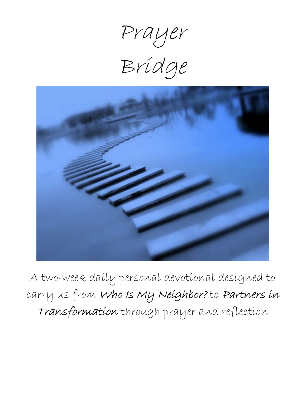Prayer

Bridge



A two-week daily personal devotional designed to carry us from Who Is My Neighbor? to Partners in Transformation through prayer and reflection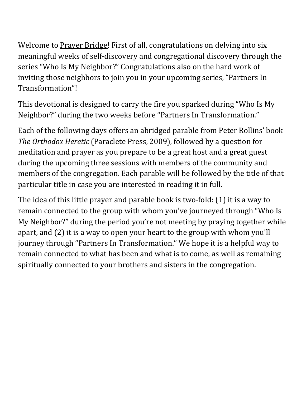Welcome to Prayer Bridge! First of all, congratulations on delving into six meaningful weeks of self-discovery and congregational discovery through the series "Who Is My Neighbor?" Congratulations also on the hard work of inviting those neighbors to join you in your upcoming series, "Partners In Transformation"!

This devotional is designed to carry the fire you sparked during "Who Is My Neighbor?" during the two weeks before "Partners In Transformation."

Each of the following days offers an abridged parable from Peter Rollins' book *The Orthodox Heretic* (Paraclete Press, 2009), followed by a question for meditation and prayer as you prepare to be a great host and a great guest during the upcoming three sessions with members of the community and members of the congregation. Each parable will be followed by the title of that particular title in case you are interested in reading it in full.

The idea of this little prayer and parable book is two-fold: (1) it is a way to remain connected to the group with whom you've journeyed through "Who Is My Neighbor?" during the period you're not meeting by praying together while apart, and (2) it is a way to open your heart to the group with whom you'll journey through "Partners In Transformation." We hope it is a helpful way to remain connected to what has been and what is to come, as well as remaining spiritually connected to your brothers and sisters in the congregation.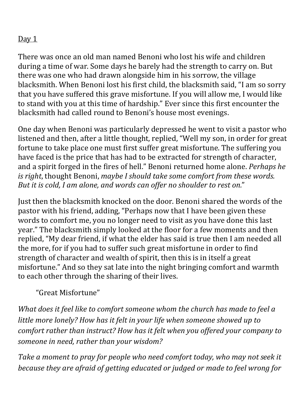There was once an old man named Benoni who lost his wife and children during a time of war. Some days he barely had the strength to carry on. But there was one who had drawn alongside him in his sorrow, the village blacksmith. When Benoni lost his first child, the blacksmith said, "I am so sorry that you have suffered this grave misfortune. If you will allow me, I would like to stand with you at this time of hardship." Ever since this first encounter the blacksmith had called round to Benoni's house most evenings.

One day when Benoni was particularly depressed he went to visit a pastor who listened and then, after a little thought, replied, "Well my son, in order for great fortune to take place one must first suffer great misfortune. The suffering you have faced is the price that has had to be extracted for strength of character, and a spirit forged in the fires of hell." Benoni returned home alone. *Perhaps he is right*, thought Benoni, *maybe I should take some comfort from these words. But it is cold, I am alone, and words can offer no shoulder to rest on.*"

Just then the blacksmith knocked on the door. Benoni shared the words of the pastor with his friend, adding, "Perhaps now that I have been given these words to comfort me, you no longer need to visit as you have done this last year." The blacksmith simply looked at the floor for a few moments and then replied, "My dear friend, if what the elder has said is true then I am needed all the more, for if you had to suffer such great misfortune in order to find strength of character and wealth of spirit, then this is in itself a great misfortune." And so they sat late into the night bringing comfort and warmth to each other through the sharing of their lives.

"Great Misfortune"

*What does it feel like to comfort someone whom the church has made to feel a little more lonely? How has it felt in your life when someone showed up to comfort rather than instruct? How has it felt when you offered your company to someone in need, rather than your wisdom?*

*Take a moment to pray for people who need comfort today, who may not seek it because they are afraid of getting educated or judged or made to feel wrong for*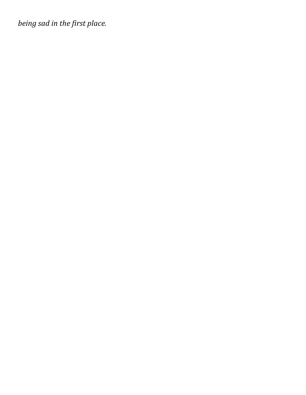*being sad in the first place.*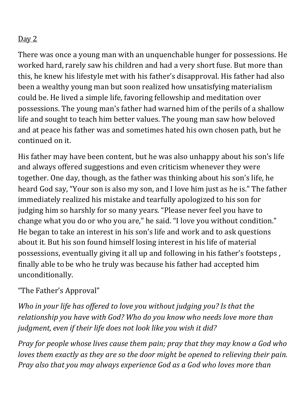There was once a young man with an unquenchable hunger for possessions. He worked hard, rarely saw his children and had a very short fuse. But more than this, he knew his lifestyle met with his father's disapproval. His father had also been a wealthy young man but soon realized how unsatisfying materialism could be. He lived a simple life, favoring fellowship and meditation over possessions. The young man's father had warned him of the perils of a shallow life and sought to teach him better values. The young man saw how beloved and at peace his father was and sometimes hated his own chosen path, but he continued on it.

His father may have been content, but he was also unhappy about his son's life and always offered suggestions and even criticism whenever they were together. One day, though, as the father was thinking about his son's life, he heard God say, "Your son is also my son, and I love him just as he is." The father immediately realized his mistake and tearfully apologized to his son for judging him so harshly for so many years. "Please never feel you have to change what you do or who you are," he said. "I love you without condition." He began to take an interest in his son's life and work and to ask questions about it. But his son found himself losing interest in his life of material possessions, eventually giving it all up and following in his father's footsteps , finally able to be who he truly was because his father had accepted him unconditionally.

### "The Father's Approval"

*Who in your life has offered to love you without judging you? Is that the relationship you have with God? Who do you know who needs love more than judgment, even if their life does not look like you wish it did?*

*Pray for people whose lives cause them pain; pray that they may know a God who loves them exactly as they are so the door might be opened to relieving their pain. Pray also that you may always experience God as a God who loves more than*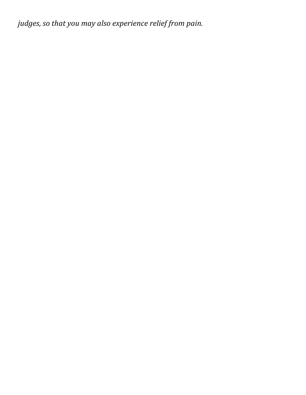*judges, so that you may also experience relief from pain.*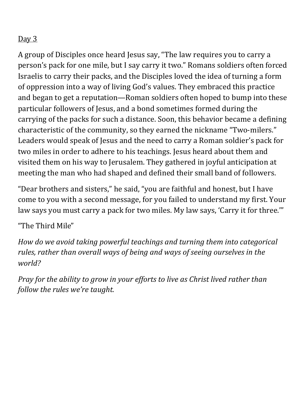A group of Disciples once heard Jesus say, "The law requires you to carry a person's pack for one mile, but I say carry it two." Romans soldiers often forced Israelis to carry their packs, and the Disciples loved the idea of turning a form of oppression into a way of living God's values. They embraced this practice and began to get a reputation—Roman soldiers often hoped to bump into these particular followers of Jesus, and a bond sometimes formed during the carrying of the packs for such a distance. Soon, this behavior became a defining characteristic of the community, so they earned the nickname "Two-milers." Leaders would speak of Jesus and the need to carry a Roman soldier's pack for two miles in order to adhere to his teachings. Jesus heard about them and visited them on his way to Jerusalem. They gathered in joyful anticipation at meeting the man who had shaped and defined their small band of followers.

"Dear brothers and sisters," he said, "you are faithful and honest, but I have come to you with a second message, for you failed to understand my first. Your law says you must carry a pack for two miles. My law says, 'Carry it for three.'"

"The Third Mile"

*How do we avoid taking powerful teachings and turning them into categorical rules, rather than overall ways of being and ways of seeing ourselves in the world?*

*Pray for the ability to grow in your efforts to live as Christ lived rather than follow the rules we're taught.*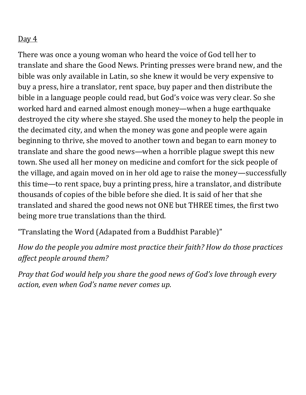There was once a young woman who heard the voice of God tell her to translate and share the Good News. Printing presses were brand new, and the bible was only available in Latin, so she knew it would be very expensive to buy a press, hire a translator, rent space, buy paper and then distribute the bible in a language people could read, but God's voice was very clear. So she worked hard and earned almost enough money—when a huge earthquake destroyed the city where she stayed. She used the money to help the people in the decimated city, and when the money was gone and people were again beginning to thrive, she moved to another town and began to earn money to translate and share the good news—when a horrible plague swept this new town. She used all her money on medicine and comfort for the sick people of the village, and again moved on in her old age to raise the money—successfully this time—to rent space, buy a printing press, hire a translator, and distribute thousands of copies of the bible before she died. It is said of her that she translated and shared the good news not ONE but THREE times, the first two being more true translations than the third.

"Translating the Word (Adapated from a Buddhist Parable)"

*How do the people you admire most practice their faith? How do those practices affect people around them?*

*Pray that God would help you share the good news of God's love through every action, even when God's name never comes up.*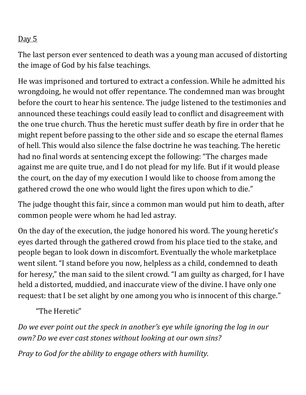The last person ever sentenced to death was a young man accused of distorting the image of God by his false teachings.

He was imprisoned and tortured to extract a confession. While he admitted his wrongdoing, he would not offer repentance. The condemned man was brought before the court to hear his sentence. The judge listened to the testimonies and announced these teachings could easily lead to conflict and disagreement with the one true church. Thus the heretic must suffer death by fire in order that he might repent before passing to the other side and so escape the eternal flames of hell. This would also silence the false doctrine he was teaching. The heretic had no final words at sentencing except the following: "The charges made against me are quite true, and I do not plead for my life. But if it would please the court, on the day of my execution I would like to choose from among the gathered crowd the one who would light the fires upon which to die."

The judge thought this fair, since a common man would put him to death, after common people were whom he had led astray.

On the day of the execution, the judge honored his word. The young heretic's eyes darted through the gathered crowd from his place tied to the stake, and people began to look down in discomfort. Eventually the whole marketplace went silent."I stand before you now, helpless as a child, condemned to death for heresy," the man said to the silent crowd. "I am guilty as charged, for I have held a distorted, muddied, and inaccurate view of the divine. I have only one request: that I be set alight by one among you who is innocent of this charge."

"The Heretic"

*Do we ever point out the speck in another's eye while ignoring the log in our own? Do we ever cast stones without looking at our own sins?*

*Pray to God for the ability to engage others with humility.*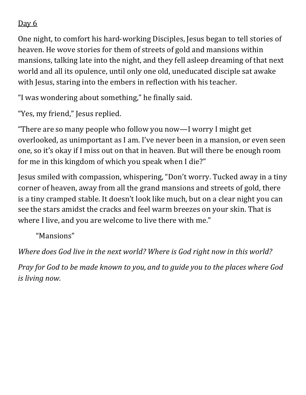One night, to comfort his hard-working Disciples, Jesus began to tell stories of heaven. He wove stories for them of streets of gold and mansions within mansions, talking late into the night, and they fell asleep dreaming of that next world and all its opulence, until only one old, uneducated disciple sat awake with Jesus, staring into the embers in reflection with his teacher.

"I was wondering about something," he finally said.

"Yes, my friend," Jesus replied.

"There are so many people who follow you now—I worry I might get overlooked, as unimportant as I am. I've never been in a mansion, or even seen one, so it's okay if I miss out on that in heaven. But will there be enough room for me in this kingdom of which you speak when I die?"

Jesus smiled with compassion, whispering, "Don't worry. Tucked away in a tiny corner of heaven, away from all the grand mansions and streets of gold, there is a tiny cramped stable. It doesn't look like much, but on a clear night you can see the stars amidst the cracks and feel warm breezes on your skin. That is where I live, and you are welcome to live there with me."

"Mansions"

*Where does God live in the next world? Where is God right now in this world?*

*Pray for God to be made known to you, and to guide you to the places where God is living now.*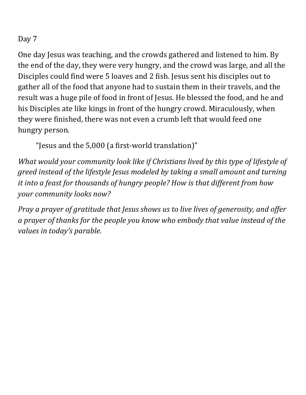One day Jesus was teaching, and the crowds gathered and listened to him. By the end of the day, they were very hungry, and the crowd was large, and all the Disciples could find were 5 loaves and 2 fish. Jesus sent his disciples out to gather all of the food that anyone had to sustain them in their travels, and the result was a huge pile of food in front of Jesus. He blessed the food, and he and his Disciples ate like kings in front of the hungry crowd. Miraculously, when they were finished, there was not even a crumb left that would feed one hungry person.

"Jesus and the 5,000 (a first-world translation)"

*What would your community look like if Christians lived by this type of lifestyle of greed instead of the lifestyle Jesus modeled by taking a small amount and turning it into a feast for thousands of hungry people? How is that different from how your community looks now?*

*Pray a prayer of gratitude that Jesus shows us to live lives of generosity, and offer a prayer of thanks for the people you know who embody that value instead of the values in today's parable.*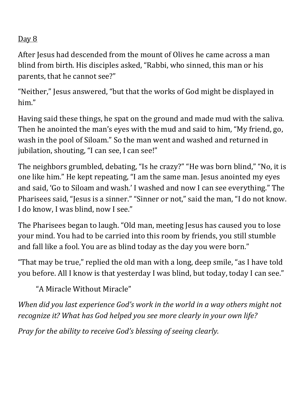After Jesus had descended from the mount of Olives he came across a man blind from birth. His disciples asked, "Rabbi, who sinned, this man or his parents, that he cannot see?"

"Neither," Jesus answered, "but that the works of God might be displayed in him."

Having said these things, he spat on the ground and made mud with the saliva. Then he anointed the man's eyes with the mud and said to him, "My friend, go, wash in the pool of Siloam." So the man went and washed and returned in jubilation, shouting, "I can see, I can see!"

The neighbors grumbled, debating, "Is he crazy?" "He was born blind," "No, it is one like him." He kept repeating, "I am the same man. Jesus anointed my eyes and said, 'Go to Siloam and wash.' I washed and now I can see everything." The Pharisees said, "Jesus is a sinner." "Sinner or not," said the man, "I do not know. I do know, I was blind, now I see."

The Pharisees began to laugh. "Old man, meeting Jesus has caused you to lose your mind. You had to be carried into this room by friends, you still stumble and fall like a fool. You are as blind today as the day you were born."

"That may be true," replied the old man with a long, deep smile, "as I have told you before. All I know is that yesterday I was blind, but today, today I can see."

"A Miracle Without Miracle"

*When did you last experience God's work in the world in a way others might not recognize it? What has God helped you see more clearly in your own life?*

*Pray for the ability to receive God's blessing of seeing clearly.*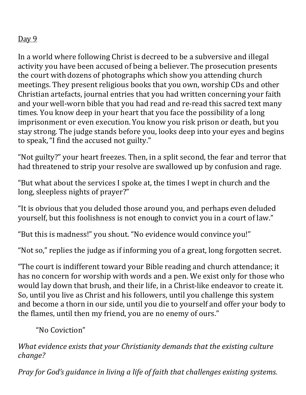In a world where following Christ is decreed to be a subversive and illegal activity you have been accused of being a believer. The prosecution presents the court with dozens of photographs which show you attending church meetings. They present religious books that you own, worship CDs and other Christian artefacts, journal entries that you had written concerning your faith and your well-worn bible that you had read and re-read this sacred text many times. You know deep in your heart that you face the possibility of a long imprisonment or even execution. You know you risk prison or death, but you stay strong. The judge stands before you, looks deep into your eyes and begins to speak,"I find the accused not guilty."

"Not guilty?" your heart freezes. Then, in a split second, the fear and terror that had threatened to strip your resolve are swallowed up by confusion and rage.

"But what about the services I spoke at, the times I wept in church and the long, sleepless nights of prayer?"

"It is obvious that you deluded those around you, and perhaps even deluded yourself, but this foolishness is not enough to convict you in a court of law."

"But this is madness!" you shout. "No evidence would convince you!"

"Not so," replies the judge as if informing you of a great, long forgotten secret.

"The court is indifferent toward your Bible reading and church attendance; it has no concern for worship with words and a pen. We exist only for those who would lay down that brush, and their life, in a Christ-like endeavor to create it. So, until you live as Christ and his followers, until you challenge this system and become a thorn in our side, until you die to yourself and offer your body to the flames, until then my friend, you are no enemy of ours."

"No Coviction"

*What evidence exists that your Christianity demands that the existing culture change?*

*Pray for God's guidance in living a life of faith that challenges existing systems.*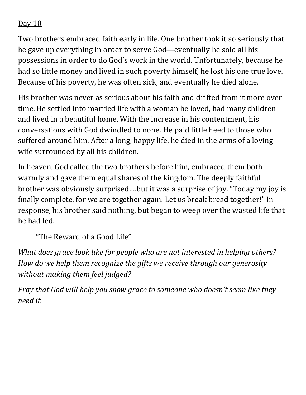Two brothers embraced faith early in life. One brother took it so seriously that he gave up everything in order to serve God—eventually he sold all his possessions in order to do God's work in the world. Unfortunately, because he had so little money and lived in such poverty himself, he lost his one true love. Because of his poverty, he was often sick, and eventually he died alone.

His brother was never as serious about his faith and drifted from it more over time. He settled into married life with a woman he loved, had many children and lived in a beautiful home. With the increase in his contentment, his conversations with God dwindled to none. He paid little heed to those who suffered around him. After a long, happy life, he died in the arms of a loving wife surrounded by all his children.

In heaven, God called the two brothers before him, embraced them both warmly and gave them equal shares of the kingdom. The deeply faithful brother was obviously surprised….but it was a surprise of joy. "Today my joy is finally complete, for we are together again. Let us break bread together!" In response, his brother said nothing, but began to weep over the wasted life that he had led.

"The Reward of a Good Life"

*What does grace look like for people who are not interested in helping others? How do we help them recognize the gifts we receive through our generosity without making them feel judged?*

*Pray that God will help you show grace to someone who doesn't seem like they need it.*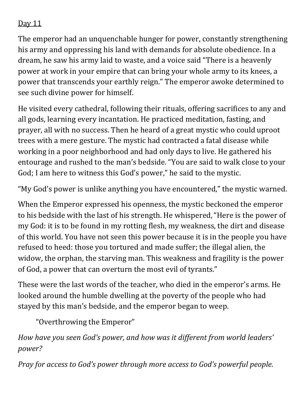The emperor had an unquenchable hunger for power, constantly strengthening his army and oppressing his land with demands for absolute obedience. In a dream, he saw his army laid to waste, and a voice said "There is a heavenly power at work in your empire that can bring your whole army to its knees, a power that transcends your earthly reign." The emperor awoke determined to see such divine power for himself.

He visited every cathedral, following their rituals, offering sacrifices to any and all gods, learning every incantation. He practiced meditation, fasting, and prayer, all with no success. Then he heard of a great mystic who could uproot trees with a mere gesture. The mystic had contracted a fatal disease while working in a poor neighborhood and had only days to live. He gathered his entourage and rushed to the man's bedside. "You are said to walk close to your God; I am here to witness this God's power," he said to the mystic.

"My God's power is unlike anything you have encountered," the mystic warned.

When the Emperor expressed his openness, the mystic beckoned the emperor to his bedside with the last of his strength. He whispered,"Here is the power of my God: it is to be found in my rotting flesh, my weakness, the dirt and disease of this world. You have not seen this power because it is in the people you have refused to heed: those you tortured and made suffer; the illegal alien, the widow, the orphan, the starving man. This weakness and fragility is the power of God, a power that can overturn the most evil of tyrants."

These were the last words of the teacher, who died in the emperor's arms. He looked around the humble dwelling at the poverty of the people who had stayed by this man's bedside, and the emperor began to weep.

"Overthrowing the Emperor"

*How have you seen God's power, and how was it different from world leaders' power?*

*Pray for access to God's power through more access to God's powerful people.*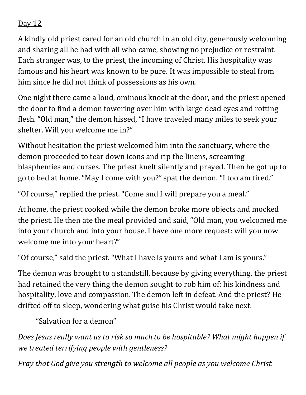A kindly old priest cared for an old church in an old city, generously welcoming and sharing all he had with all who came, showing no prejudice or restraint. Each stranger was, to the priest, the incoming of Christ. His hospitality was famous and his heart was known to be pure. It was impossible to steal from him since he did not think of possessions as his own.

One night there came a loud, ominous knock at the door, and the priest opened the door to find a demon towering over him with large dead eyes and rotting flesh. "Old man," the demon hissed, "I have traveled many miles to seek your shelter. Will you welcome me in?"

Without hesitation the priest welcomed him into the sanctuary, where the demon proceeded to tear down icons and rip the linens, screaming blasphemies and curses. The priest knelt silently and prayed. Then he got up to go to bed at home. "May I come with you?" spat the demon. "I too am tired."

"Of course," replied the priest."Come and I will prepare you a meal."

At home, the priest cooked while the demon broke more objects and mocked the priest. He then ate the meal provided and said, "Old man, you welcomed me into your church and into your house. I have one more request: will you now welcome me into your heart?"

"Of course," said the priest. "What I have is yours and what I am is yours."

The demon was brought to a standstill, because by giving everything, the priest had retained the very thing the demon sought to rob him of: his kindness and hospitality, love and compassion. The demon left in defeat. And the priest? He drifted off to sleep, wondering what guise his Christ would take next.

"Salvation for a demon"

*Does Jesus really want us to risk so much to be hospitable? What might happen if we treated terrifying people with gentleness?*

*Pray that God give you strength to welcome all people as you welcome Christ.*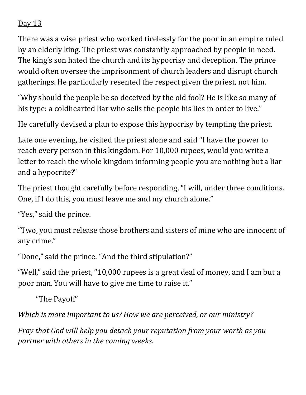There was a wise priest who worked tirelessly for the poor in an empire ruled by an elderly king. The priest was constantly approached by people in need. The king's son hated the church and its hypocrisy and deception. The prince would often oversee the imprisonment of church leaders and disrupt church gatherings. He particularly resented the respect given the priest, not him.

"Why should the people be so deceived by the old fool? He is like so many of his type: a coldhearted liar who sells the people his lies in order to live."

He carefully devised a plan to expose this hypocrisy by tempting the priest.

Late one evening, he visited the priest alone and said "I have the power to reach every person in this kingdom. For 10,000 rupees, would you write a letter to reach the whole kingdom informing people you are nothing but a liar and a hypocrite?"

The priest thought carefully before responding, "I will, under three conditions. One, if I do this, you must leave me and my church alone."

"Yes," said the prince.

"Two, you must release those brothers and sisters of mine who are innocent of any crime."

"Done," said the prince. "And the third stipulation?"

"Well," said the priest, "10,000 rupees is a great deal of money, and I am but a poor man. You will have to give me time to raise it."

"The Payoff"

*Which is more important to us?How we are perceived, or our ministry?*

*Pray that God will help you detach your reputation from your worth as you partner with others in the coming weeks.*